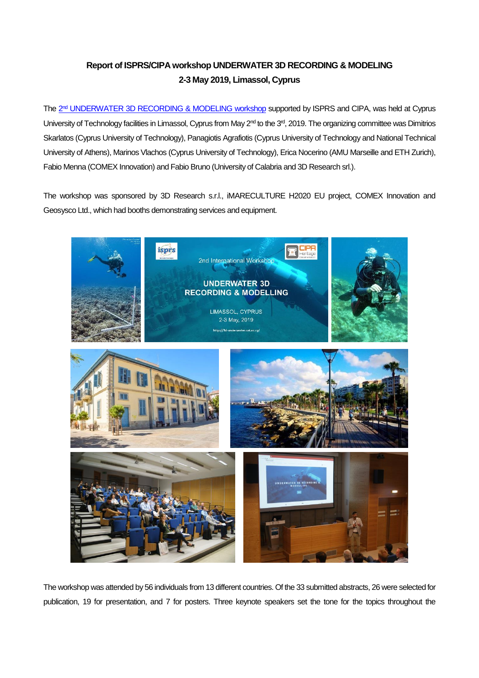## **Report of ISPRS/CIPAworkshop UNDERWATER 3D RECORDING & MODELING 2-3 May 2019, Limassol, Cyprus**

The 2<sup>nd</sup> [UNDERWATER 3D RECORDING & MODELING workshop](http://3d-underwater.cut.ac.cy/) supported by ISPRS and CIPA, was held at Cyprus University of Technology facilities in Limassol, Cyprus from May 2<sup>nd</sup> to the 3<sup>rd</sup>, 2019. The organizing committee was Dimitrios Skarlatos (Cyprus University of Technology), Panagiotis Agrafiotis (Cyprus University of Technology and National Technical University of Athens), Marinos Vlachos (Cyprus University of Technology), Erica Nocerino (AMU Marseille and ETH Zurich), Fabio Menna (COMEX Innovation) and Fabio Bruno (University of Calabria and 3D Research srl.).

The workshop was sponsored by 3D Research s.r.l., iMARECULTURE H2020 EU project, COMEX Innovation and Geosysco Ltd., which had booths demonstrating services and equipment.



The workshop was attended by 56 individuals from 13 different countries. Of the 33 submitted abstracts, 26 were selected for publication, 19 for presentation, and 7 for posters. Three keynote speakers set the tone for the topics throughout the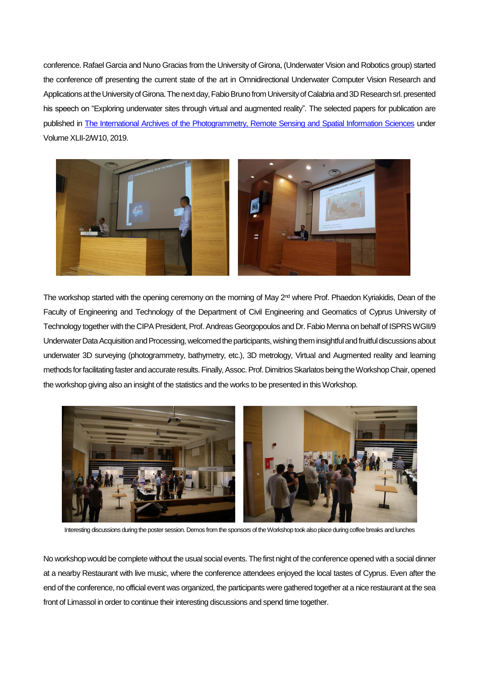conference. Rafael Garcia and Nuno Gracias from the University of Girona, (Underwater Vision and Robotics group) started the conference off presenting the current state of the art in Omnidirectional Underwater Computer Vision Research and Applications at the University of Girona. The next day, Fabio Bruno from University of Calabria and 3D Research srl. presented his speech on "Exploring underwater sites through virtual and augmented reality". The selected papers for publication are published in [The International Archives of the Photogrammetry, Remote Sensing and Spatial Information Sciences](https://www.int-arch-photogramm-remote-sens-spatial-inf-sci.net/XLII-2-W10/) under Volume XLII-2/W10, 2019.



The workshop started with the opening ceremony on the morning of May 2<sup>nd</sup> where Prof. Phaedon Kyriakidis, Dean of the Faculty of Engineering and Technology of the Department of Civil Engineering and Geomatics of Cyprus University of Technology together with the CIPA President, Prof. Andreas Georgopoulos and Dr. Fabio Menna on behalf of ISPRS WGII/9 Underwater Data Acquisition and Processing, welcomed the participants, wishing them insightful and fruitful discussions about underwater 3D surveying (photogrammetry, bathymetry, etc.), 3D metrology, Virtual and Augmented reality and learning methods for facilitating fasterand accurate results.Finally, Assoc. Prof. Dimitrios Skarlatosbeing the Workshop Chair, opened the workshop giving also an insight of the statistics and the works to be presented in this Workshop.



Interesting discussions during the poster session. Demos from the sponsors of the Workshop took also place during coffee breaks and lunches

No workshop would be complete without the usual social events. The first night of the conference opened with a social dinner at a nearby Restaurant with live music, where the conference attendees enjoyed the local tastes of Cyprus. Even after the end of the conference, no official event was organized, the participants were gathered together at a nice restaurant at the sea front of Limassol in order to continue their interesting discussions and spend time together.